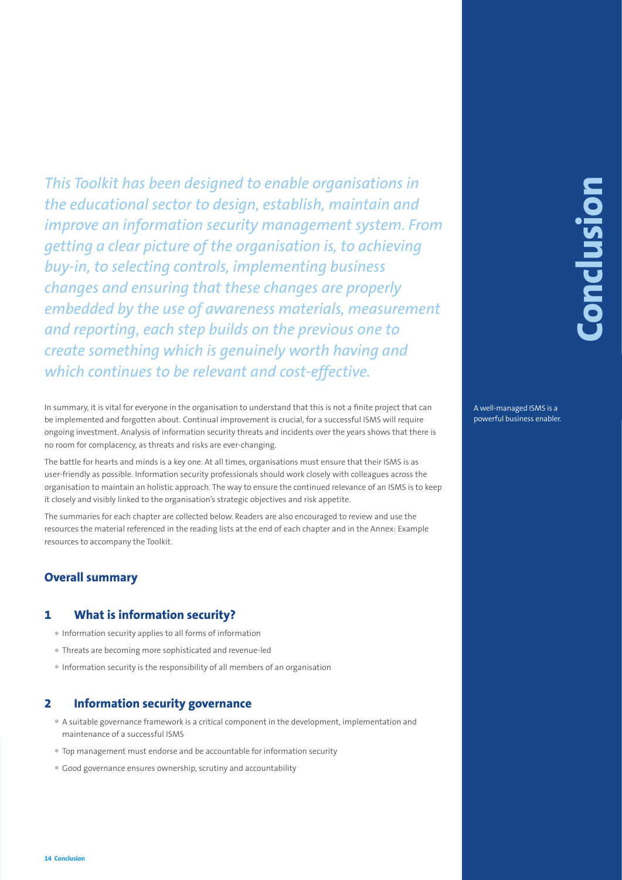This Toolkith Ras Deem designed to enable organisations in<br>
the educational sector to design, establish, maintain and<br>
improve an information security management system. From<br>
by-in, to selecting controls, implementing bus *This Toolkit has been designed to enable organisations in the educational sector to design, establish, maintain and improve an information security management system. From getting a clear picture of the organisation is, to achieving buy-in, to selecting controls, implementing business changes and ensuring that these changes are properly embedded by the use of awareness materials, measurement and reporting, each step builds on the previous one to create something which is genuinely worth having and which continues to be relevant and cost-effective.*

In summary, it is vital for everyone in the organisation to understand that this is not a finite project that can be implemented and forgotten about. Continual improvement is crucial, for a successful ISMS will require ongoing investment. Analysis of information security threats and incidents over the years shows that there is no room for complacency, as threats and risks are ever-changing.

The battle for hearts and minds is a key one. At all times, organisations must ensure that their ISMS is as user-friendly as possible. Information security professionals should work closely with colleagues across the organisation to maintain an holistic approach. The way to ensure the continued relevance of an ISMS is to keep it closely and visibly linked to the organisation's strategic objectives and risk appetite.

The summaries for each chapter are collected below. Readers are also encouraged to review and use the resources the material referenced in the reading lists at the end of each chapter and in the Annex: Example resources to accompany the Toolkit.

# **Overall summary**

## **1 What is information security?**

- Information security applies to all forms of information
- Threats are becoming more sophisticated and revenue-led
- Information security is the responsibility of all members of an organisation

## **2 Information security governance**

- A suitable governance framework is a critical component in the development, implementation and maintenance of a successful ISMS
- Top management must endorse and be accountable for information security
- Good governance ensures ownership, scrutiny and accountability

A well-managed ISMS is a powerful business enabler.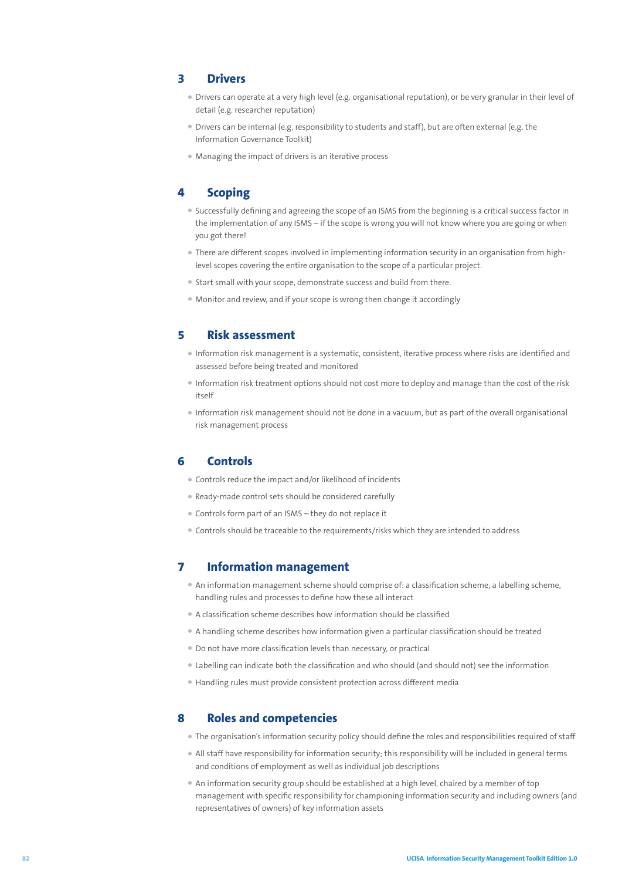## **3 Drivers**

- Drivers can operate at a very high level (e.g. organisational reputation), or be very granular in their level of detail (e.g. researcher reputation)
- Drivers can be internal (e.g. responsibility to students and staff), but are often external (e.g. the Information Governance Toolkit)
- Managing the impact of drivers is an iterative process

# **4 Scoping**

- Successfully defining and agreeing the scope of an ISMS from the beginning is a critical success factor in the implementation of any ISMS – if the scope is wrong you will not know where you are going or when you got there!
- There are different scopes involved in implementing information security in an organisation from highlevel scopes covering the entire organisation to the scope of a particular project.
- Start small with your scope, demonstrate success and build from there.
- Monitor and review, and if your scope is wrong then change it accordingly

## **5 Risk assessment**

- Information risk management is a systematic, consistent, iterative process where risks are identified and assessed before being treated and monitored
- Information risk treatment options should not cost more to deploy and manage than the cost of the risk itself
- Information risk management should not be done in a vacuum, but as part of the overall organisational risk management process

#### **6 Controls**

- Controls reduce the impact and/or likelihood of incidents
- Ready-made control sets should be considered carefully
- Controls form part of an ISMS they do not replace it
- Controls should be traceable to the requirements/risks which they are intended to address

## **7 Information management**

- An information management scheme should comprise of: a classification scheme, a labelling scheme, handling rules and processes to define how these all interact
- A classification scheme describes how information should be classified
- A handling scheme describes how information given a particular classification should be treated
- Do not have more classification levels than necessary, or practical
- Labelling can indicate both the classification and who should (and should not) see the information
- Handling rules must provide consistent protection across different media

## **8 Roles and competencies**

- The organisation's information security policy should define the roles and responsibilities required of staff
- All staff have responsibility for information security; this responsibility will be included in general terms and conditions of employment as well as individual job descriptions
- An information security group should be established at a high level, chaired by a member of top management with specific responsibility for championing information security and including owners (and representatives of owners) of key information assets